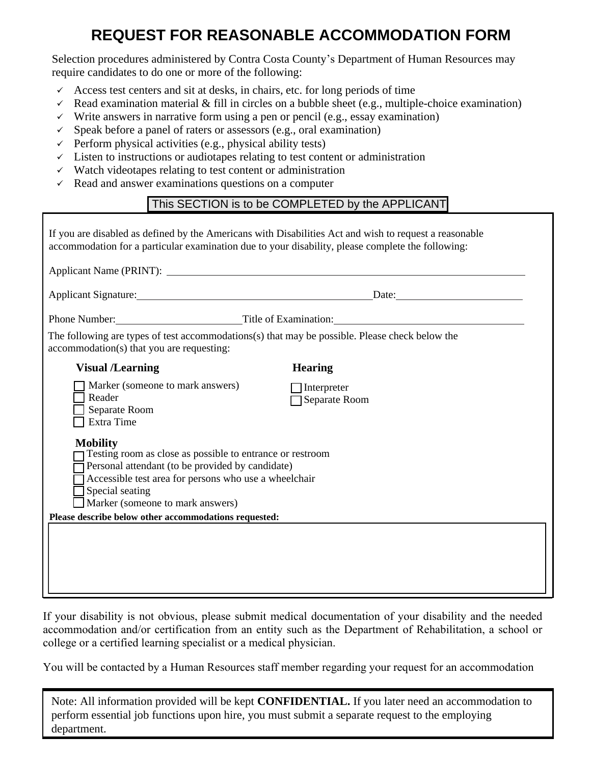## **REQUEST FOR REASONABLE ACCOMMODATION FORM**

Selection procedures administered by Contra Costa County's Department of Human Resources may require candidates to do one or more of the following:

- $\checkmark$  Access test centers and sit at desks, in chairs, etc. for long periods of time
- Read examination material & fill in circles on a bubble sheet (e.g., multiple-choice examination)
- $\checkmark$  Write answers in narrative form using a pen or pencil (e.g., essay examination)
- $\checkmark$  Speak before a panel of raters or assessors (e.g., oral examination)
- $\checkmark$  Perform physical activities (e.g., physical ability tests)
- $\checkmark$  Listen to instructions or audiotapes relating to test content or administration
- $\checkmark$  Watch videotapes relating to test content or administration
- $\checkmark$  Read and answer examinations questions on a computer

## This SECTION is to be COMPLETED by the APPLICANT

| If you are disabled as defined by the Americans with Disabilities Act and wish to request a reasonable<br>accommodation for a particular examination due to your disability, please complete the following:                                      |                                     |
|--------------------------------------------------------------------------------------------------------------------------------------------------------------------------------------------------------------------------------------------------|-------------------------------------|
| Applicant Name (PRINT):<br><u> </u>                                                                                                                                                                                                              |                                     |
| Applicant Signature: Date: Date:                                                                                                                                                                                                                 |                                     |
| Phone Number: Title of Examination: Title of Examination:                                                                                                                                                                                        |                                     |
| The following are types of test accommodations(s) that may be possible. Please check below the<br>accommodation(s) that you are requesting:                                                                                                      |                                     |
| <b>Visual /Learning</b>                                                                                                                                                                                                                          | <b>Hearing</b>                      |
| Marker (someone to mark answers)<br>Reader<br>Separate Room<br>Extra Time                                                                                                                                                                        | $\Box$ Interpreter<br>Separate Room |
| <b>Mobility</b><br>Testing room as close as possible to entrance or restroom<br>Personal attendant (to be provided by candidate)<br>Accessible test area for persons who use a wheelchair<br>Special seating<br>Marker (someone to mark answers) |                                     |
| Please describe below other accommodations requested:                                                                                                                                                                                            |                                     |
|                                                                                                                                                                                                                                                  |                                     |

If your disability is not obvious, please submit medical documentation of your disability and the needed accommodation and/or certification from an entity such as the Department of Rehabilitation, a school or college or a certified learning specialist or a medical physician.

You will be contacted by a Human Resources staff member regarding your request for an accommodation

Note: All information provided will be kept **CONFIDENTIAL.** If you later need an accommodation to perform essential job functions upon hire, you must submit a separate request to the employing department.